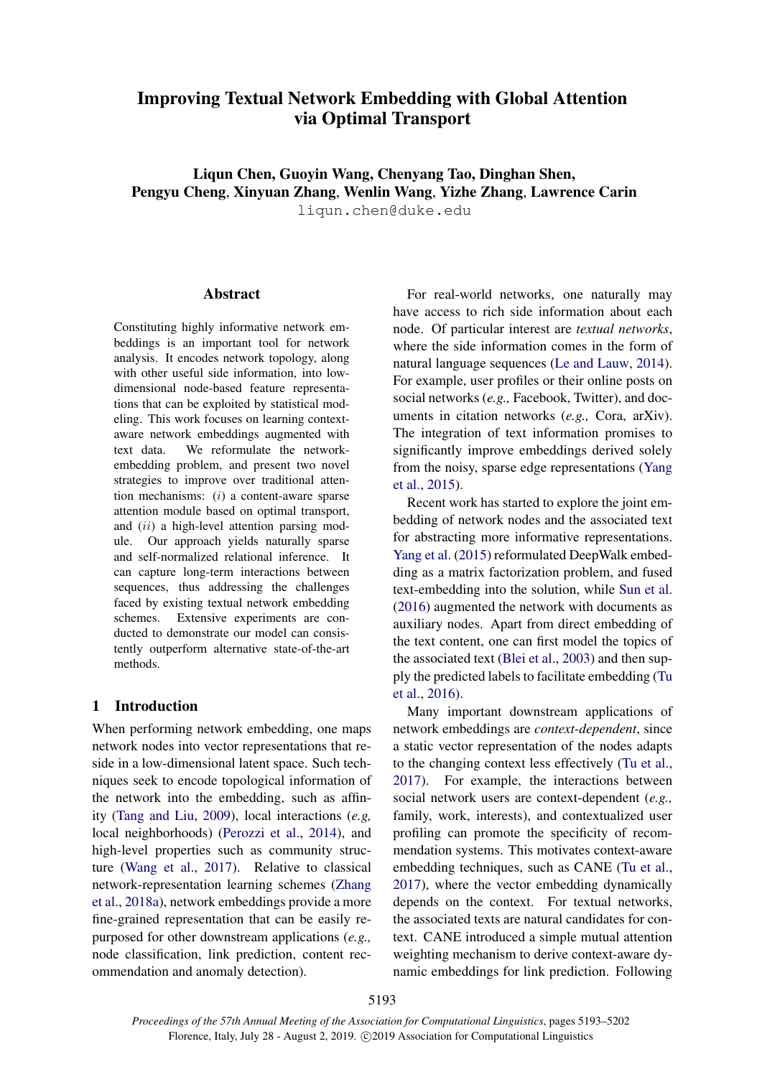# Improving Textual Network Embedding with Global Attention via Optimal Transport

Liqun Chen, Guoyin Wang, Chenyang Tao, Dinghan Shen, Pengyu Cheng, Xinyuan Zhang, Wenlin Wang, Yizhe Zhang, Lawrence Carin

liqun.chen@duke.edu

## **Abstract**

Constituting highly informative network embeddings is an important tool for network analysis. It encodes network topology, along with other useful side information, into lowdimensional node-based feature representations that can be exploited by statistical modeling. This work focuses on learning contextaware network embeddings augmented with text data. We reformulate the networkembedding problem, and present two novel strategies to improve over traditional attention mechanisms:  $(i)$  a content-aware sparse attention module based on optimal transport, and  $(ii)$  a high-level attention parsing module. Our approach yields naturally sparse and self-normalized relational inference. It can capture long-term interactions between sequences, thus addressing the challenges faced by existing textual network embedding schemes. Extensive experiments are conducted to demonstrate our model can consistently outperform alternative state-of-the-art methods.

## 1 Introduction

When performing network embedding, one maps network nodes into vector representations that reside in a low-dimensional latent space. Such techniques seek to encode topological information of the network into the embedding, such as affinity [\(Tang and Liu,](#page-9-0) [2009\)](#page-9-0), local interactions (*e.g,* local neighborhoods) [\(Perozzi et al.,](#page-8-0) [2014\)](#page-8-0), and high-level properties such as community structure [\(Wang et al.,](#page-9-1) [2017\)](#page-9-1). Relative to classical network-representation learning schemes [\(Zhang](#page-9-2) [et al.,](#page-9-2) [2018a\)](#page-9-2), network embeddings provide a more fine-grained representation that can be easily repurposed for other downstream applications (*e.g.,* node classification, link prediction, content recommendation and anomaly detection).

For real-world networks, one naturally may have access to rich side information about each node. Of particular interest are *textual networks*, where the side information comes in the form of natural language sequences [\(Le and Lauw,](#page-8-1) [2014\)](#page-8-1). For example, user profiles or their online posts on social networks (*e.g.,* Facebook, Twitter), and documents in citation networks (*e.g.,* Cora, arXiv). The integration of text information promises to significantly improve embeddings derived solely from the noisy, sparse edge representations [\(Yang](#page-9-3) [et al.,](#page-9-3) [2015\)](#page-9-3).

Recent work has started to explore the joint embedding of network nodes and the associated text for abstracting more informative representations. [Yang et al.](#page-9-3) [\(2015\)](#page-9-3) reformulated DeepWalk embedding as a matrix factorization problem, and fused text-embedding into the solution, while [Sun et al.](#page-9-4) [\(2016\)](#page-9-4) augmented the network with documents as auxiliary nodes. Apart from direct embedding of the text content, one can first model the topics of the associated text [\(Blei et al.,](#page-8-2) [2003\)](#page-8-2) and then supply the predicted labels to facilitate embedding [\(Tu](#page-9-5) [et al.,](#page-9-5) [2016\)](#page-9-5).

Many important downstream applications of network embeddings are *context-dependent*, since a static vector representation of the nodes adapts to the changing context less effectively [\(Tu et al.,](#page-9-6) [2017\)](#page-9-6). For example, the interactions between social network users are context-dependent (*e.g.,* family, work, interests), and contextualized user profiling can promote the specificity of recommendation systems. This motivates context-aware embedding techniques, such as CANE [\(Tu et al.,](#page-9-6) [2017\)](#page-9-6), where the vector embedding dynamically depends on the context. For textual networks, the associated texts are natural candidates for context. CANE introduced a simple mutual attention weighting mechanism to derive context-aware dynamic embeddings for link prediction. Following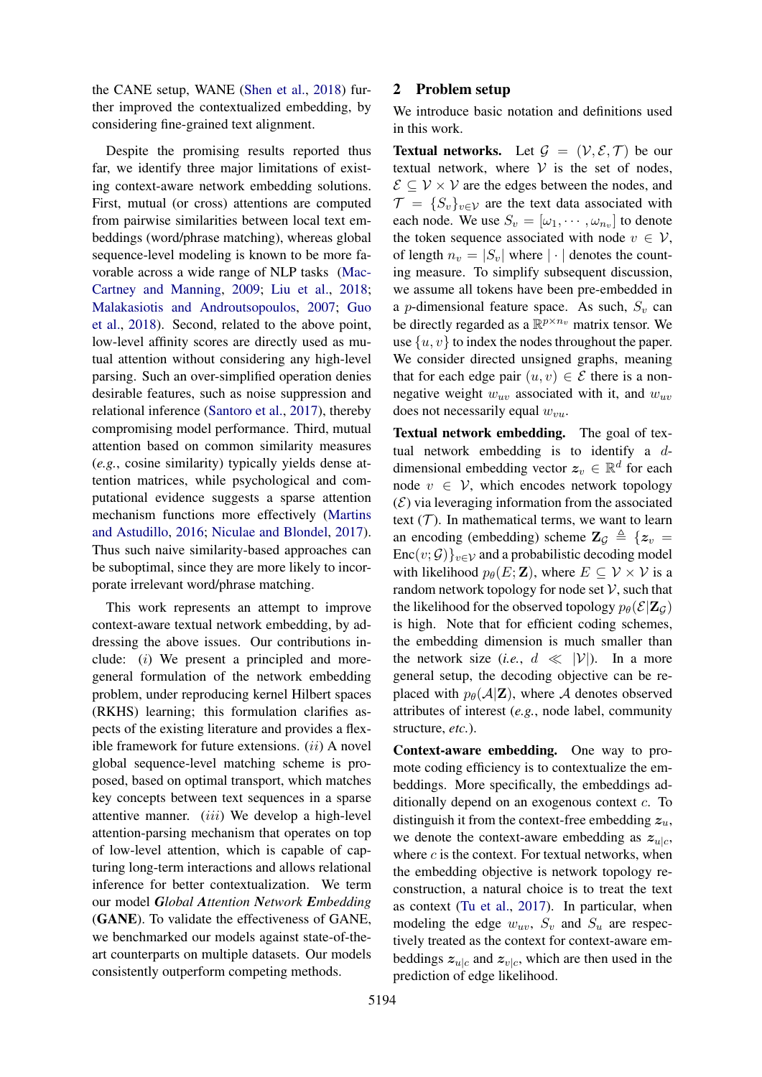the CANE setup, WANE [\(Shen et al.,](#page-9-7) [2018\)](#page-9-7) further improved the contextualized embedding, by considering fine-grained text alignment.

Despite the promising results reported thus far, we identify three major limitations of existing context-aware network embedding solutions. First, mutual (or cross) attentions are computed from pairwise similarities between local text embeddings (word/phrase matching), whereas global sequence-level modeling is known to be more favorable across a wide range of NLP tasks [\(Mac-](#page-8-3)[Cartney and Manning,](#page-8-3) [2009;](#page-8-3) [Liu et al.,](#page-8-4) [2018;](#page-8-4) [Malakasiotis and Androutsopoulos,](#page-8-5) [2007;](#page-8-5) [Guo](#page-8-6) [et al.,](#page-8-6) [2018\)](#page-8-6). Second, related to the above point, low-level affinity scores are directly used as mutual attention without considering any high-level parsing. Such an over-simplified operation denies desirable features, such as noise suppression and relational inference [\(Santoro et al.,](#page-9-8) [2017\)](#page-9-8), thereby compromising model performance. Third, mutual attention based on common similarity measures (*e.g.*, cosine similarity) typically yields dense attention matrices, while psychological and computational evidence suggests a sparse attention mechanism functions more effectively [\(Martins](#page-8-7) [and Astudillo,](#page-8-7) [2016;](#page-8-7) [Niculae and Blondel,](#page-8-8) [2017\)](#page-8-8). Thus such naive similarity-based approaches can be suboptimal, since they are more likely to incorporate irrelevant word/phrase matching.

This work represents an attempt to improve context-aware textual network embedding, by addressing the above issues. Our contributions include: (i) We present a principled and moregeneral formulation of the network embedding problem, under reproducing kernel Hilbert spaces (RKHS) learning; this formulation clarifies aspects of the existing literature and provides a flexible framework for future extensions.  $(ii)$  A novel global sequence-level matching scheme is proposed, based on optimal transport, which matches key concepts between text sequences in a sparse attentive manner. *(iii)* We develop a high-level attention-parsing mechanism that operates on top of low-level attention, which is capable of capturing long-term interactions and allows relational inference for better contextualization. We term our model *Global Attention Network Embedding* (GANE). To validate the effectiveness of GANE, we benchmarked our models against state-of-theart counterparts on multiple datasets. Our models consistently outperform competing methods.

## 2 Problem setup

We introduce basic notation and definitions used in this work.

**Textual networks.** Let  $\mathcal{G} = (\mathcal{V}, \mathcal{E}, \mathcal{T})$  be our textual network, where  $V$  is the set of nodes,  $\mathcal{E} \subset \mathcal{V} \times \mathcal{V}$  are the edges between the nodes, and  $\mathcal{T} = \{S_v\}_{v \in \mathcal{V}}$  are the text data associated with each node. We use  $S_v = [\omega_1, \cdots, \omega_{n_v}]$  to denote the token sequence associated with node  $v \in V$ , of length  $n_v = |S_v|$  where  $|\cdot|$  denotes the counting measure. To simplify subsequent discussion, we assume all tokens have been pre-embedded in a *p*-dimensional feature space. As such,  $S_v$  can be directly regarded as a  $\mathbb{R}^{p \times n_v}$  matrix tensor. We use  $\{u, v\}$  to index the nodes throughout the paper. We consider directed unsigned graphs, meaning that for each edge pair  $(u, v) \in \mathcal{E}$  there is a nonnegative weight  $w_{uv}$  associated with it, and  $w_{uv}$ does not necessarily equal  $w_{vu}$ .

Textual network embedding. The goal of textual network embedding is to identify a ddimensional embedding vector  $z_v \in \mathbb{R}^d$  for each node  $v \in V$ , which encodes network topology  $(\mathcal{E})$  via leveraging information from the associated text  $(T)$ . In mathematical terms, we want to learn an encoding (embedding) scheme  $\mathbf{Z}_\mathcal{G} \triangleq \{z_v =$  $Enc(v; \mathcal{G})\}_{v \in \mathcal{V}}$  and a probabilistic decoding model with likelihood  $p_{\theta}(E; \mathbf{Z})$ , where  $E \subseteq \mathcal{V} \times \mathcal{V}$  is a random network topology for node set  $\mathcal V$ , such that the likelihood for the observed topology  $p_{\theta}(\mathcal{E}|\mathbf{Z}_{G})$ is high. Note that for efficient coding schemes, the embedding dimension is much smaller than the network size (*i.e.*,  $d \ll |\mathcal{V}|$ ). In a more general setup, the decoding objective can be replaced with  $p_{\theta}(\mathcal{A}|\mathbf{Z})$ , where A denotes observed attributes of interest (*e.g.*, node label, community structure, *etc.*).

Context-aware embedding. One way to promote coding efficiency is to contextualize the embeddings. More specifically, the embeddings additionally depend on an exogenous context c. To distinguish it from the context-free embedding  $z_u$ , we denote the context-aware embedding as  $z_{u|c}$ , where  $c$  is the context. For textual networks, when the embedding objective is network topology reconstruction, a natural choice is to treat the text as context [\(Tu et al.,](#page-9-6) [2017\)](#page-9-6). In particular, when modeling the edge  $w_{uv}$ ,  $S_v$  and  $S_u$  are respectively treated as the context for context-aware embeddings  $z_{u|c}$  and  $z_{v|c}$ , which are then used in the prediction of edge likelihood.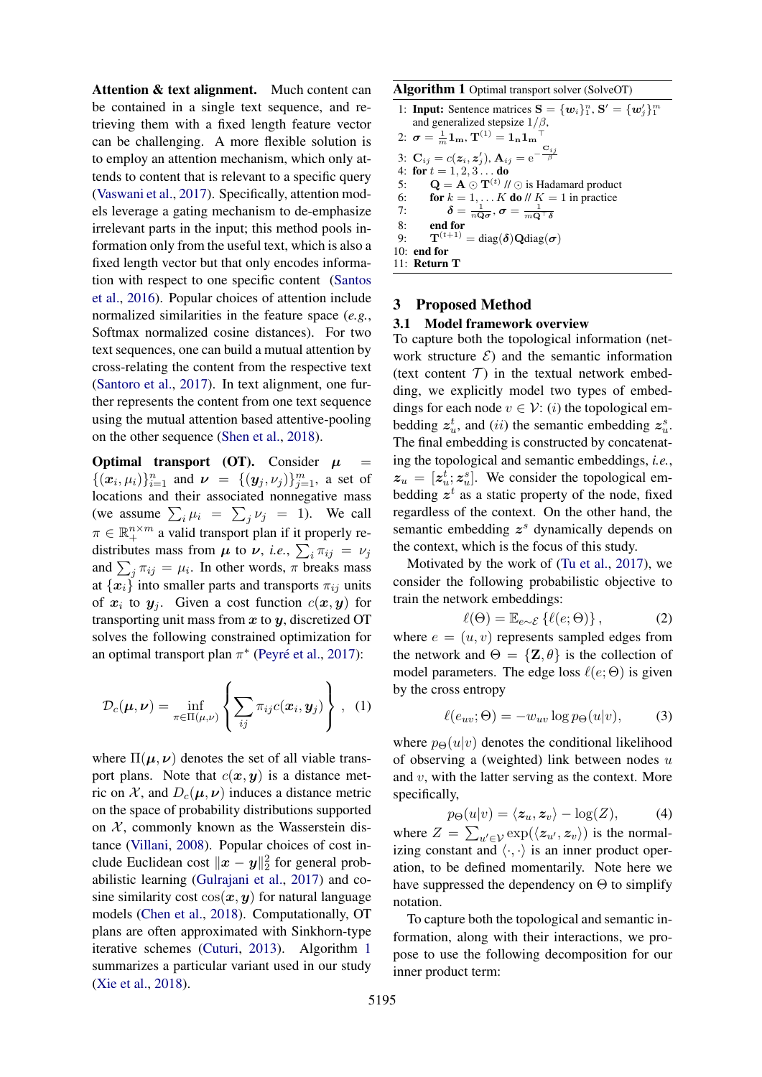Attention & text alignment. Much content can be contained in a single text sequence, and retrieving them with a fixed length feature vector can be challenging. A more flexible solution is to employ an attention mechanism, which only attends to content that is relevant to a specific query [\(Vaswani et al.,](#page-9-9) [2017\)](#page-9-9). Specifically, attention models leverage a gating mechanism to de-emphasize irrelevant parts in the input; this method pools information only from the useful text, which is also a fixed length vector but that only encodes information with respect to one specific content [\(Santos](#page-9-10) [et al.,](#page-9-10) [2016\)](#page-9-10). Popular choices of attention include normalized similarities in the feature space (*e.g.*, Softmax normalized cosine distances). For two text sequences, one can build a mutual attention by cross-relating the content from the respective text [\(Santoro et al.,](#page-9-8) [2017\)](#page-9-8). In text alignment, one further represents the content from one text sequence using the mutual attention based attentive-pooling on the other sequence [\(Shen et al.,](#page-9-7) [2018\)](#page-9-7).

Optimal transport (OT). Consider  $\mu$  $\{(x_i, \mu_i)\}_{i=1}^n$  and  $\nu = \{(y_j, \nu_j)\}_{j=1}^m$ , a set of locations and their associated nonnegative mass (we assume  $\sum_i \mu_i = \sum_j \nu_j = 1$ ). We call  $\pi \in \mathbb{R}_+^{n \times m}$  a valid transport plan if it properly redistributes mass from  $\mu$  to  $\nu$ , *i.e.*,  $\sum_i \pi_{ij} = \nu_j$ and  $\sum_j \pi_{ij} = \mu_i$ . In other words,  $\pi$  breaks mass at  $\{x_i\}$  into smaller parts and transports  $\pi_{ij}$  units of  $x_i$  to  $y_j$ . Given a cost function  $c(x, y)$  for transporting unit mass from  $x$  to  $y$ , discretized OT solves the following constrained optimization for an optimal transport plan  $\pi^*$  (Peyré et al., [2017\)](#page-9-11):

$$
\mathcal{D}_c(\boldsymbol{\mu}, \boldsymbol{\nu}) = \inf_{\pi \in \Pi(\boldsymbol{\mu}, \boldsymbol{\nu})} \left\{ \sum_{ij} \pi_{ij} c(\boldsymbol{x}_i, \boldsymbol{y}_j) \right\}, \quad (1)
$$

where  $\Pi(\mu, \nu)$  denotes the set of all viable transport plans. Note that  $c(x, y)$  is a distance metric on X, and  $D_c(\mu, \nu)$  induces a distance metric on the space of probability distributions supported on  $X$ , commonly known as the Wasserstein distance [\(Villani,](#page-9-12) [2008\)](#page-9-12). Popular choices of cost include Euclidean cost  $\|\boldsymbol{x}-\boldsymbol{y}\|_2^2$  for general probabilistic learning [\(Gulrajani et al.,](#page-8-9) [2017\)](#page-8-9) and cosine similarity cost  $cos(x, y)$  for natural language models [\(Chen et al.,](#page-8-10) [2018\)](#page-8-10). Computationally, OT plans are often approximated with Sinkhorn-type iterative schemes [\(Cuturi,](#page-8-11) [2013\)](#page-8-11). Algorithm [1](#page-2-0) summarizes a particular variant used in our study [\(Xie et al.,](#page-9-13) [2018\)](#page-9-13).

<span id="page-2-0"></span>Algorithm 1 Optimal transport solver (SolveOT)

1: **Input:** Sentence matrices  $\mathbf{S} = \{\mathbf{w}_i\}_{1}^{n}, \mathbf{S}' = \{\mathbf{w}'_j\}_{1}^{m}$ and generalized stepsize  $1/\beta$ ,  $\top$ 

2: 
$$
\sigma = \frac{1}{m} \mathbf{1}_m, \mathbf{T}^{(1)} = \mathbf{1}_n \mathbf{1}_m
$$

3: 
$$
\mathbf{C}_{ij} = c(\mathbf{z}_i, \mathbf{z}'_j), \mathbf{A}_{ij} = e^{-\frac{\mathbf{z}_{ij}}{\beta}}
$$

4: for  $t = 1, 2, 3...$  do

5:  $\mathbf{Q} = \mathbf{A} \odot \mathbf{T}^{(t)}$  //  $\odot$  is Hadamard product 6: **for**  $k = 1, \ldots K$  **do**  $\text{/}$   $K = 1$  in practice

7:  $\delta = \frac{1}{n\mathbf{Q}\boldsymbol{\sigma}}, \boldsymbol{\sigma} = \frac{1}{m\mathbf{Q}^\top\delta}$ 

8: end for

9: 
$$
\mathbf{T}^{(t+1)} = \text{diag}(\delta) \mathbf{Q} \text{diag}(\boldsymbol{\sigma})
$$

10: end for 11: Return T

## 3 Proposed Method

#### 3.1 Model framework overview

To capture both the topological information (network structure  $\mathcal{E}$ ) and the semantic information (text content  $T$ ) in the textual network embedding, we explicitly model two types of embeddings for each node  $v \in V$ : (*i*) the topological embedding  $z_u^t$ , and (*ii*) the semantic embedding  $z_u^s$ . The final embedding is constructed by concatenating the topological and semantic embeddings, *i.e.*,  $z_u = [z_u^t; z_u^s]$ . We consider the topological embedding  $z^t$  as a static property of the node, fixed regardless of the context. On the other hand, the semantic embedding  $z^s$  dynamically depends on the context, which is the focus of this study.

Motivated by the work of [\(Tu et al.,](#page-9-6) [2017\)](#page-9-6), we consider the following probabilistic objective to train the network embeddings:

$$
\ell(\Theta) = \mathbb{E}_{e \sim \mathcal{E}} \left\{ \ell(e; \Theta) \right\},\tag{2}
$$

where  $e = (u, v)$  represents sampled edges from the network and  $\Theta = \{Z, \theta\}$  is the collection of model parameters. The edge loss  $\ell(e; \Theta)$  is given by the cross entropy

<span id="page-2-1"></span>
$$
\ell(e_{uv}; \Theta) = -w_{uv} \log p_{\Theta}(u|v), \tag{3}
$$

where  $p_{\Theta}(u|v)$  denotes the conditional likelihood of observing a (weighted) link between nodes  $u$ and  $v$ , with the latter serving as the context. More specifically,

$$
p_{\Theta}(u|v) = \langle z_u, z_v \rangle - \log(Z), \tag{4}
$$

where  $Z = \sum_{u' \in \mathcal{V}} \exp(\langle z_{u'}, z_v \rangle)$  is the normalizing constant and  $\langle \cdot, \cdot \rangle$  is an inner product operation, to be defined momentarily. Note here we have suppressed the dependency on  $\Theta$  to simplify notation.

To capture both the topological and semantic information, along with their interactions, we propose to use the following decomposition for our inner product term: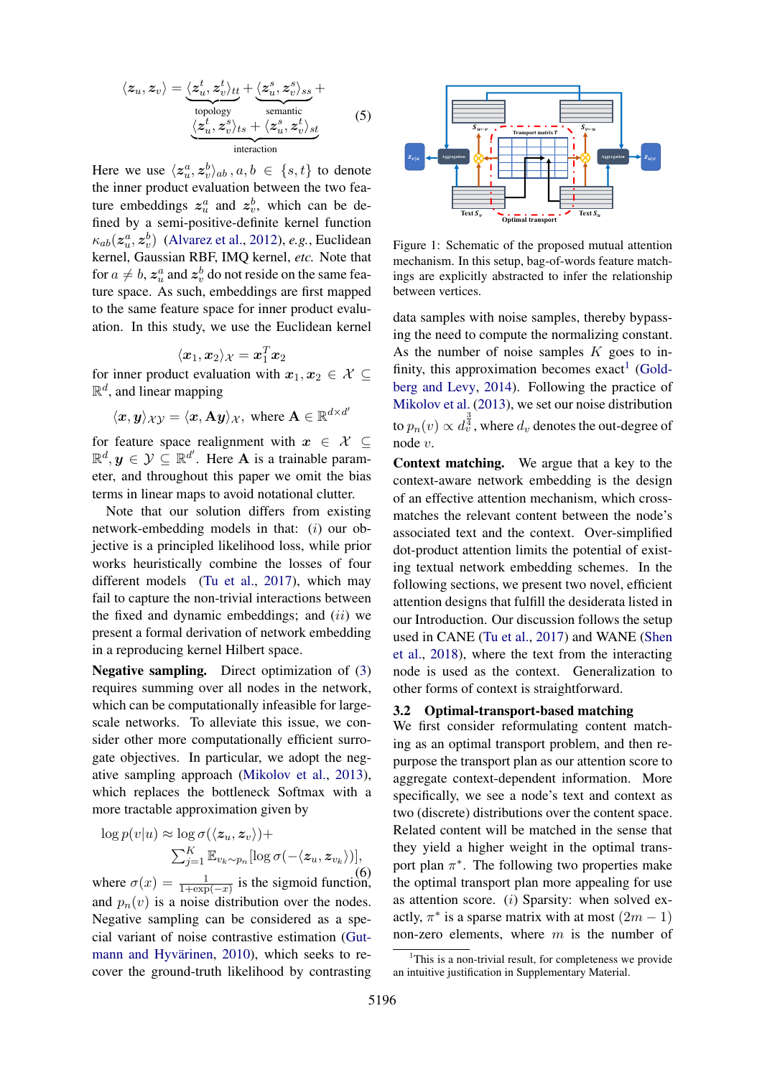$$
\langle z_u, z_v \rangle = \underbrace{\langle z_u^t, z_v^t \rangle_{tt}}_{\text{topology}} + \underbrace{\langle z_u^s, z_v^s \rangle_{ss}}_{\text{semantic}} + \underbrace{\langle z_u^t, z_v^s \rangle_{ts} + \langle z_u^s, z_v^t \rangle_{st}}_{\text{interaction}}
$$
(5)

Here we use  $\langle z_u^a, z_v^b \rangle_{ab}$ ,  $a, b \in \{s, t\}$  to denote the inner product evaluation between the two feature embeddings  $z_u^a$  and  $z_v^b$ , which can be defined by a semi-positive-definite kernel function  $\kappa_{ab}(z^a_u, z^b_v)$  [\(Alvarez et al.,](#page-8-12) [2012\)](#page-8-12), *e.g.*, Euclidean kernel, Gaussian RBF, IMQ kernel, *etc.* Note that for  $a \neq b$ ,  $z_u^a$  and  $z_v^b$  do not reside on the same feature space. As such, embeddings are first mapped to the same feature space for inner product evaluation. In this study, we use the Euclidean kernel

$$
\langle \boldsymbol{x}_1, \boldsymbol{x}_2 \rangle_\mathcal{X} = \boldsymbol{x}_1^T \boldsymbol{x}_2
$$

for inner product evaluation with  $x_1, x_2 \in \mathcal{X} \subseteq$  $\mathbb{R}^d$ , and linear mapping

$$
\langle \boldsymbol{x}, \boldsymbol{y} \rangle_{\mathcal{X} \mathcal{Y}} = \langle \boldsymbol{x}, \mathbf{A} \boldsymbol{y} \rangle_{\mathcal{X}}, \text{ where } \mathbf{A} \in \mathbb{R}^{d \times d'}
$$

for feature space realignment with  $x \in \mathcal{X} \subseteq$  $\mathbb{R}^d, y \in \mathcal{Y} \subseteq \mathbb{R}^{d'}$ . Here **A** is a trainable parameter, and throughout this paper we omit the bias terms in linear maps to avoid notational clutter.

Note that our solution differs from existing network-embedding models in that:  $(i)$  our objective is a principled likelihood loss, while prior works heuristically combine the losses of four different models [\(Tu et al.,](#page-9-6) [2017\)](#page-9-6), which may fail to capture the non-trivial interactions between the fixed and dynamic embeddings; and  $(ii)$  we present a formal derivation of network embedding in a reproducing kernel Hilbert space.

Negative sampling. Direct optimization of [\(3\)](#page-2-1) requires summing over all nodes in the network, which can be computationally infeasible for largescale networks. To alleviate this issue, we consider other more computationally efficient surrogate objectives. In particular, we adopt the negative sampling approach [\(Mikolov et al.,](#page-8-13) [2013\)](#page-8-13), which replaces the bottleneck Softmax with a more tractable approximation given by

$$
\log p(v|u) \approx \log \sigma(\langle z_u, z_v \rangle) +
$$
  

$$
\sum_{j=1}^K \mathbb{E}_{v_k \sim p_n}[\log \sigma(-\langle z_u, z_{v_k} \rangle)],
$$

where  $\sigma(x) = \frac{1}{1 + \exp(-x)}$  is the sigmoid function, and  $p_n(v)$  is a noise distribution over the nodes. Negative sampling can be considered as a special variant of noise contrastive estimation [\(Gut-](#page-8-14)mann and Hyvärinen, [2010\)](#page-8-14), which seeks to recover the ground-truth likelihood by contrasting



Figure 1: Schematic of the proposed mutual attention mechanism. In this setup, bag-of-words feature matchings are explicitly abstracted to infer the relationship between vertices.

data samples with noise samples, thereby bypassing the need to compute the normalizing constant. As the number of noise samples  $K$  goes to infinity, this approximation becomes  $exact<sup>1</sup>$  $exact<sup>1</sup>$  $exact<sup>1</sup>$  [\(Gold](#page-8-15)[berg and Levy,](#page-8-15) [2014\)](#page-8-15). Following the practice of [Mikolov et al.](#page-8-13) [\(2013\)](#page-8-13), we set our noise distribution to  $p_n(v) \propto d_v^{\frac{3}{4}}$ , where  $d_v$  denotes the out-degree of node v.

Context matching. We argue that a key to the context-aware network embedding is the design of an effective attention mechanism, which crossmatches the relevant content between the node's associated text and the context. Over-simplified dot-product attention limits the potential of existing textual network embedding schemes. In the following sections, we present two novel, efficient attention designs that fulfill the desiderata listed in our Introduction. Our discussion follows the setup used in CANE [\(Tu et al.,](#page-9-6) [2017\)](#page-9-6) and WANE [\(Shen](#page-9-7) [et al.,](#page-9-7) [2018\)](#page-9-7), where the text from the interacting node is used as the context. Generalization to other forms of context is straightforward.

## 3.2 Optimal-transport-based matching

We first consider reformulating content matching as an optimal transport problem, and then repurpose the transport plan as our attention score to aggregate context-dependent information. More specifically, we see a node's text and context as two (discrete) distributions over the content space. Related content will be matched in the sense that they yield a higher weight in the optimal transport plan  $\pi^*$ . The following two properties make the optimal transport plan more appealing for use as attention score.  $(i)$  Sparsity: when solved exactly,  $\pi^*$  is a sparse matrix with at most  $(2m - 1)$ non-zero elements, where  $m$  is the number of

<span id="page-3-0"></span><sup>&</sup>lt;sup>1</sup>This is a non-trivial result, for completeness we provide an intuitive justification in Supplementary Material.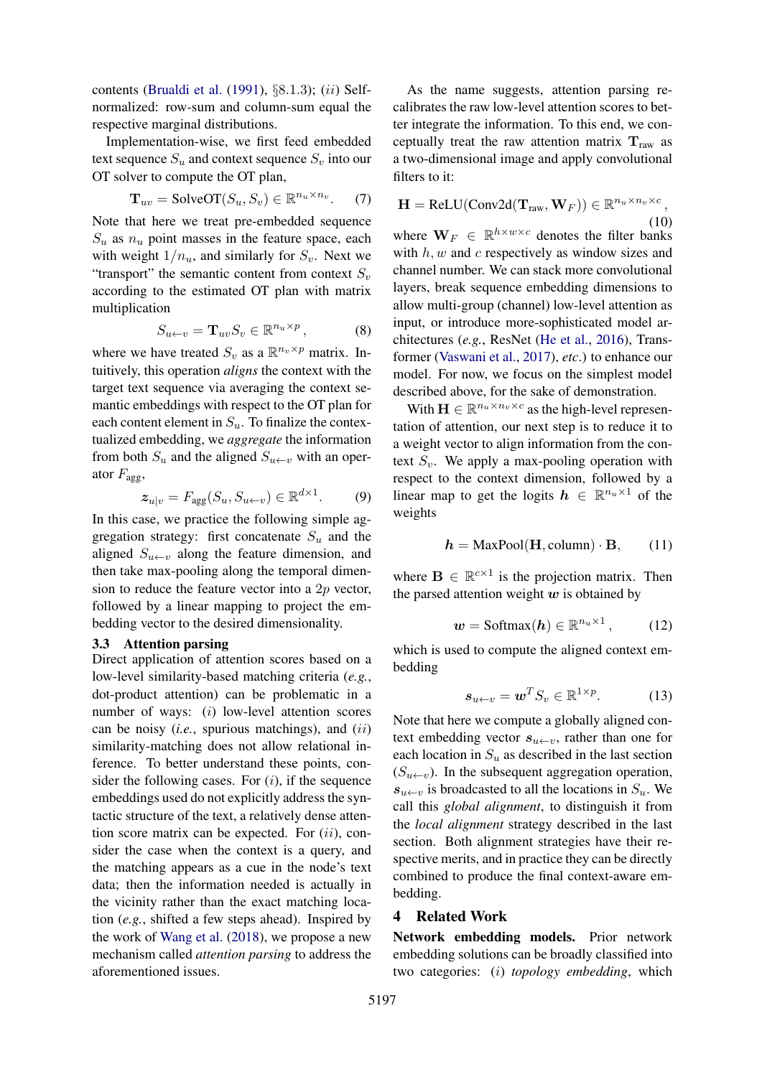contents [\(Brualdi et al.](#page-8-16) [\(1991\)](#page-8-16), §8.1.3); (ii) Selfnormalized: row-sum and column-sum equal the respective marginal distributions.

Implementation-wise, we first feed embedded text sequence  $S_u$  and context sequence  $S_v$  into our OT solver to compute the OT plan,

$$
\mathbf{T}_{uv} = \text{SolveOT}(S_u, S_v) \in \mathbb{R}^{n_u \times n_v}.
$$
 (7)

Note that here we treat pre-embedded sequence  $S_u$  as  $n_u$  point masses in the feature space, each with weight  $1/n_u$ , and similarly for  $S_v$ . Next we "transport" the semantic content from context  $S_v$ according to the estimated OT plan with matrix multiplication

$$
S_{u \leftarrow v} = \mathbf{T}_{uv} S_v \in \mathbb{R}^{n_u \times p}, \tag{8}
$$

where we have treated  $S_v$  as a  $\mathbb{R}^{n_v \times p}$  matrix. Intuitively, this operation *aligns* the context with the target text sequence via averaging the context semantic embeddings with respect to the OT plan for each content element in  $S_u$ . To finalize the contextualized embedding, we *aggregate* the information from both  $S_u$  and the aligned  $S_{u \leftarrow v}$  with an operator  $F_{\text{agg}}$ ,

$$
z_{u|v} = F_{\text{agg}}(S_u, S_{u \leftarrow v}) \in \mathbb{R}^{d \times 1}.
$$
 (9)

In this case, we practice the following simple aggregation strategy: first concatenate  $S_u$  and the aligned  $S_{u\leftarrow v}$  along the feature dimension, and then take max-pooling along the temporal dimension to reduce the feature vector into a 2p vector, followed by a linear mapping to project the embedding vector to the desired dimensionality.

## 3.3 Attention parsing

Direct application of attention scores based on a low-level similarity-based matching criteria (*e.g.*, dot-product attention) can be problematic in a number of ways: (i) low-level attention scores can be noisy (*i.e.*, spurious matchings), and (ii) similarity-matching does not allow relational inference. To better understand these points, consider the following cases. For  $(i)$ , if the sequence embeddings used do not explicitly address the syntactic structure of the text, a relatively dense attention score matrix can be expected. For  $(ii)$ , consider the case when the context is a query, and the matching appears as a cue in the node's text data; then the information needed is actually in the vicinity rather than the exact matching location (*e.g.*, shifted a few steps ahead). Inspired by the work of [Wang et al.](#page-9-14) [\(2018\)](#page-9-14), we propose a new mechanism called *attention parsing* to address the aforementioned issues.

As the name suggests, attention parsing recalibrates the raw low-level attention scores to better integrate the information. To this end, we conceptually treat the raw attention matrix  $T_{\text{raw}}$  as a two-dimensional image and apply convolutional filters to it:

$$
\mathbf{H} = \text{ReLU}(\text{Conv2d}(\mathbf{T}_{\text{raw}}, \mathbf{W}_F)) \in \mathbb{R}^{n_u \times n_v \times c},
$$
\n(10)

where  $\mathbf{W}_F \in \mathbb{R}^{h \times w \times c}$  denotes the filter banks with  $h, w$  and  $c$  respectively as window sizes and channel number. We can stack more convolutional layers, break sequence embedding dimensions to allow multi-group (channel) low-level attention as input, or introduce more-sophisticated model architectures (*e.g.*, ResNet [\(He et al.,](#page-8-17) [2016\)](#page-8-17), Transformer [\(Vaswani et al.,](#page-9-9) [2017\)](#page-9-9), *etc*.) to enhance our model. For now, we focus on the simplest model described above, for the sake of demonstration.

With  $\mathbf{H} \in \mathbb{R}^{n_u \times n_v \times c}$  as the high-level representation of attention, our next step is to reduce it to a weight vector to align information from the context  $S_v$ . We apply a max-pooling operation with respect to the context dimension, followed by a linear map to get the logits  $h \in \mathbb{R}^{n_u \times 1}$  of the weights

$$
h = \text{MaxPool}(\mathbf{H}, \text{column}) \cdot \mathbf{B}, \qquad (11)
$$

where  $\mathbf{B} \in \mathbb{R}^{c \times 1}$  is the projection matrix. Then the parsed attention weight  $w$  is obtained by

$$
w = \text{Softmax}(h) \in \mathbb{R}^{n_u \times 1}, \quad (12)
$$

which is used to compute the aligned context embedding

$$
\boldsymbol{s}_{u \leftarrow v} = \boldsymbol{w}^T S_v \in \mathbb{R}^{1 \times p}.
$$
 (13)

Note that here we compute a globally aligned context embedding vector  $s_{u \leftarrow v}$ , rather than one for each location in  $S_u$  as described in the last section  $(S_{u \leftarrow v})$ . In the subsequent aggregation operation,  $s_{u\leftarrow v}$  is broadcasted to all the locations in  $S_u$ . We call this *global alignment*, to distinguish it from the *local alignment* strategy described in the last section. Both alignment strategies have their respective merits, and in practice they can be directly combined to produce the final context-aware embedding.

## 4 Related Work

Network embedding models. Prior network embedding solutions can be broadly classified into two categories: (i) *topology embedding*, which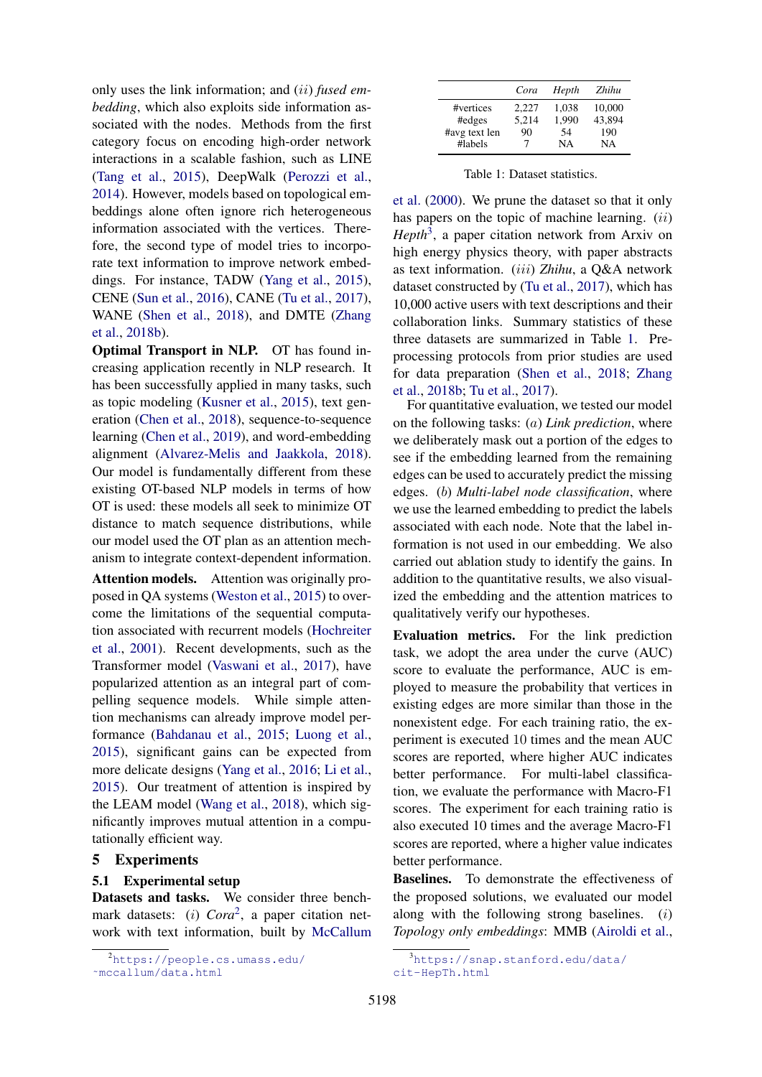only uses the link information; and (ii) *fused embedding*, which also exploits side information associated with the nodes. Methods from the first category focus on encoding high-order network interactions in a scalable fashion, such as LINE [\(Tang et al.,](#page-9-15) [2015\)](#page-9-15), DeepWalk [\(Perozzi et al.,](#page-8-0) [2014\)](#page-8-0). However, models based on topological embeddings alone often ignore rich heterogeneous information associated with the vertices. Therefore, the second type of model tries to incorporate text information to improve network embeddings. For instance, TADW [\(Yang et al.,](#page-9-3) [2015\)](#page-9-3), CENE [\(Sun et al.,](#page-9-4) [2016\)](#page-9-4), CANE [\(Tu et al.,](#page-9-6) [2017\)](#page-9-6), WANE [\(Shen et al.,](#page-9-7) [2018\)](#page-9-7), and DMTE [\(Zhang](#page-9-16) [et al.,](#page-9-16) [2018b\)](#page-9-16).

Optimal Transport in NLP. OT has found increasing application recently in NLP research. It has been successfully applied in many tasks, such as topic modeling [\(Kusner et al.,](#page-8-18) [2015\)](#page-8-18), text generation [\(Chen et al.,](#page-8-10) [2018\)](#page-8-10), sequence-to-sequence learning [\(Chen et al.,](#page-8-19) [2019\)](#page-8-19), and word-embedding alignment [\(Alvarez-Melis and Jaakkola,](#page-8-20) [2018\)](#page-8-20). Our model is fundamentally different from these existing OT-based NLP models in terms of how OT is used: these models all seek to minimize OT distance to match sequence distributions, while our model used the OT plan as an attention mechanism to integrate context-dependent information.

Attention models. Attention was originally proposed in QA systems [\(Weston et al.,](#page-9-17) [2015\)](#page-9-17) to overcome the limitations of the sequential computation associated with recurrent models [\(Hochreiter](#page-8-21) [et al.,](#page-8-21) [2001\)](#page-8-21). Recent developments, such as the Transformer model [\(Vaswani et al.,](#page-9-9) [2017\)](#page-9-9), have popularized attention as an integral part of compelling sequence models. While simple attention mechanisms can already improve model performance [\(Bahdanau et al.,](#page-8-22) [2015;](#page-8-22) [Luong et al.,](#page-8-23) [2015\)](#page-8-23), significant gains can be expected from more delicate designs [\(Yang et al.,](#page-9-18) [2016;](#page-9-18) [Li et al.,](#page-8-24) [2015\)](#page-8-24). Our treatment of attention is inspired by the LEAM model [\(Wang et al.,](#page-9-14) [2018\)](#page-9-14), which significantly improves mutual attention in a computationally efficient way.

#### 5 Experiments

#### 5.1 Experimental setup

Datasets and tasks. We consider three benchmark datasets: (i) *Cora*<sup>[2](#page-5-0)</sup>, a paper citation network with text information, built by [McCallum](#page-8-25)

<span id="page-5-2"></span>

|               | Cora  | Hepth | Zhihu  |
|---------------|-------|-------|--------|
| #vertices     | 2.227 | 1.038 | 10.000 |
| #edges        | 5.214 | 1.990 | 43.894 |
| #avg text len | 90    | 54    | 190    |
| #labels       |       | NΑ    | NΑ     |

Table 1: Dataset statistics.

[et al.](#page-8-25) [\(2000\)](#page-8-25). We prune the dataset so that it only has papers on the topic of machine learning.  $(ii)$ Hepth<sup>[3](#page-5-1)</sup>, a paper citation network from Arxiv on high energy physics theory, with paper abstracts as text information. (iii) *Zhihu*, a Q&A network dataset constructed by [\(Tu et al.,](#page-9-6) [2017\)](#page-9-6), which has 10,000 active users with text descriptions and their collaboration links. Summary statistics of these three datasets are summarized in Table [1.](#page-5-2) Preprocessing protocols from prior studies are used for data preparation [\(Shen et al.,](#page-9-7) [2018;](#page-9-7) [Zhang](#page-9-16) [et al.,](#page-9-16) [2018b;](#page-9-16) [Tu et al.,](#page-9-6) [2017\)](#page-9-6).

For quantitative evaluation, we tested our model on the following tasks: (a) *Link prediction*, where we deliberately mask out a portion of the edges to see if the embedding learned from the remaining edges can be used to accurately predict the missing edges. (b) *Multi-label node classification*, where we use the learned embedding to predict the labels associated with each node. Note that the label information is not used in our embedding. We also carried out ablation study to identify the gains. In addition to the quantitative results, we also visualized the embedding and the attention matrices to qualitatively verify our hypotheses.

Evaluation metrics. For the link prediction task, we adopt the area under the curve (AUC) score to evaluate the performance, AUC is employed to measure the probability that vertices in existing edges are more similar than those in the nonexistent edge. For each training ratio, the experiment is executed 10 times and the mean AUC scores are reported, where higher AUC indicates better performance. For multi-label classification, we evaluate the performance with Macro-F1 scores. The experiment for each training ratio is also executed 10 times and the average Macro-F1 scores are reported, where a higher value indicates better performance.

Baselines. To demonstrate the effectiveness of the proposed solutions, we evaluated our model along with the following strong baselines. (i) *Topology only embeddings*: MMB [\(Airoldi et al.,](#page-8-26)

<span id="page-5-0"></span><sup>2</sup>[https://people.cs.umass.edu/](#page-8-25) [˜mccallum/data.html](#page-8-25)

<span id="page-5-1"></span><sup>3</sup>[https://snap.stanford.edu/data/](https://snap.stanford.edu/data/cit-HepTh.html) [cit-HepTh.html](https://snap.stanford.edu/data/cit-HepTh.html)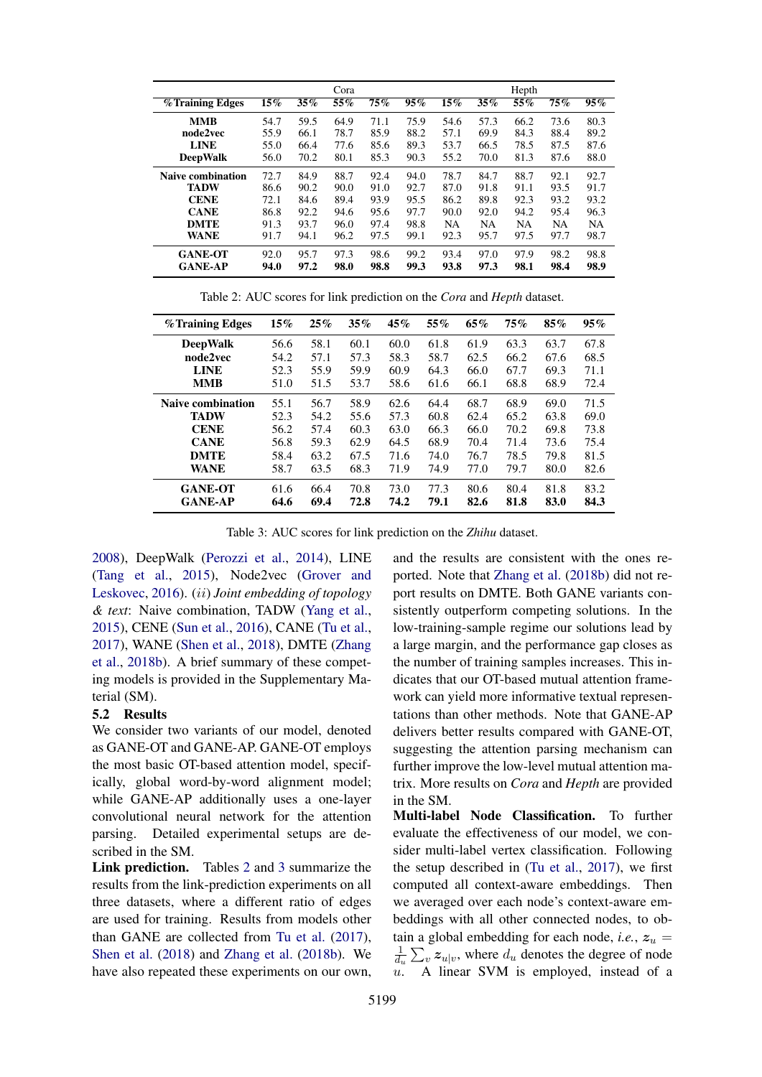<span id="page-6-0"></span>

|                          | Cora   |      |      |      | Hepth |           |           |           |           |           |
|--------------------------|--------|------|------|------|-------|-----------|-----------|-----------|-----------|-----------|
| % Training Edges         | $15\%$ | 35%  | 55%  | 75%  | 95%   | $15\%$    | 35%       | 55%       | 75%       | 95%       |
| <b>MMB</b>               | 54.7   | 59.5 | 64.9 | 71.1 | 75.9  | 54.6      | 57.3      | 66.2      | 73.6      | 80.3      |
| node2vec                 | 55.9   | 66.1 | 78.7 | 85.9 | 88.2  | 57.1      | 69.9      | 84.3      | 88.4      | 89.2      |
| <b>LINE</b>              | 55.0   | 66.4 | 77.6 | 85.6 | 89.3  | 53.7      | 66.5      | 78.5      | 87.5      | 87.6      |
| <b>DeepWalk</b>          | 56.0   | 70.2 | 80.1 | 85.3 | 90.3  | 55.2      | 70.0      | 81.3      | 87.6      | 88.0      |
| <b>Naive combination</b> | 72.7   | 84.9 | 88.7 | 92.4 | 94.0  | 78.7      | 84.7      | 88.7      | 92.1      | 92.7      |
| <b>TADW</b>              | 86.6   | 90.2 | 90.0 | 91.0 | 92.7  | 87.0      | 91.8      | 91.1      | 93.5      | 91.7      |
| <b>CENE</b>              | 72.1   | 84.6 | 89.4 | 93.9 | 95.5  | 86.2      | 89.8      | 92.3      | 93.2      | 93.2      |
| <b>CANE</b>              | 86.8   | 92.2 | 94.6 | 95.6 | 97.7  | 90.0      | 92.0      | 94.2      | 95.4      | 96.3      |
| <b>DMTE</b>              | 91.3   | 93.7 | 96.0 | 97.4 | 98.8  | <b>NA</b> | <b>NA</b> | <b>NA</b> | <b>NA</b> | <b>NA</b> |
| WANE                     | 91.7   | 94.1 | 96.2 | 97.5 | 99.1  | 92.3      | 95.7      | 97.5      | 97.7      | 98.7      |
| <b>GANE-OT</b>           | 92.0   | 95.7 | 97.3 | 98.6 | 99.2  | 93.4      | 97.0      | 97.9      | 98.2      | 98.8      |
| <b>GANE-AP</b>           | 94.0   | 97.2 | 98.0 | 98.8 | 99.3  | 93.8      | 97.3      | 98.1      | 98.4      | 98.9      |

Table 2: AUC scores for link prediction on the *Cora* and *Hepth* dataset.

<span id="page-6-1"></span>

| % Training Edges                 | 15%          | 25%          | $35\%$       | 45%          | 55%          | 65%          | 75%          | 85%          | 95%          |
|----------------------------------|--------------|--------------|--------------|--------------|--------------|--------------|--------------|--------------|--------------|
| <b>DeepWalk</b>                  | 56.6         | 58.1         | 60.1         | 60.0         | 61.8         | 61.9         | 63.3         | 63.7         | 67.8         |
| node2vec                         | 54.2         | 57.1         | 57.3         | 58.3         | 58.7         | 62.5         | 66.2         | 67.6         | 68.5         |
| <b>LINE</b>                      | 52.3         | 55.9         | 59.9         | 60.9         | 64.3         | 66.0         | 67.7         | 69.3         | 71.1         |
| <b>MMB</b>                       | 51.0         | 51.5         | 53.7         | 58.6         | 61.6         | 66.1         | 68.8         | 68.9         | 72.4         |
| <b>Naive combination</b>         | 55.1         | 56.7         | 58.9         | 62.6         | 64.4         | 68.7         | 68.9         | 69.0         | 71.5         |
| <b>TADW</b>                      | 52.3         | 54.2         | 55.6         | 57.3         | 60.8         | 62.4         | 65.2         | 63.8         | 69.0         |
| <b>CENE</b>                      | 56.2         | 57.4         | 60.3         | 63.0         | 66.3         | 66.0         | 70.2         | 69.8         | 73.8         |
| <b>CANE</b>                      | 56.8         | 59.3         | 62.9         | 64.5         | 68.9         | 70.4         | 71.4         | 73.6         | 75.4         |
| <b>DMTE</b>                      | 58.4         | 63.2         | 67.5         | 71.6         | 74.0         | 76.7         | 78.5         | 79.8         | 81.5         |
| WANE                             | 58.7         | 63.5         | 68.3         | 71.9         | 74.9         | 77.0         | 79.7         | 80.0         | 82.6         |
| <b>GANE-OT</b><br><b>GANE-AP</b> | 61.6<br>64.6 | 66.4<br>69.4 | 70.8<br>72.8 | 73.0<br>74.2 | 77.3<br>79.1 | 80.6<br>82.6 | 80.4<br>81.8 | 81.8<br>83.0 | 83.2<br>84.3 |

Table 3: AUC scores for link prediction on the *Zhihu* dataset.

[2008\)](#page-8-26), DeepWalk [\(Perozzi et al.,](#page-8-0) [2014\)](#page-8-0), LINE [\(Tang et al.,](#page-9-15) [2015\)](#page-9-15), Node2vec [\(Grover and](#page-8-27) [Leskovec,](#page-8-27) [2016\)](#page-8-27). (ii) *Joint embedding of topology & text*: Naive combination, TADW [\(Yang et al.,](#page-9-3) [2015\)](#page-9-3), CENE [\(Sun et al.,](#page-9-4) [2016\)](#page-9-4), CANE [\(Tu et al.,](#page-9-6) [2017\)](#page-9-6), WANE [\(Shen et al.,](#page-9-7) [2018\)](#page-9-7), DMTE [\(Zhang](#page-9-16) [et al.,](#page-9-16) [2018b\)](#page-9-16). A brief summary of these competing models is provided in the Supplementary Material (SM).

## 5.2 Results

We consider two variants of our model, denoted as GANE-OT and GANE-AP. GANE-OT employs the most basic OT-based attention model, specifically, global word-by-word alignment model; while GANE-AP additionally uses a one-layer convolutional neural network for the attention parsing. Detailed experimental setups are described in the SM.

Link prediction. Tables [2](#page-6-0) and [3](#page-6-1) summarize the results from the link-prediction experiments on all three datasets, where a different ratio of edges are used for training. Results from models other than GANE are collected from [Tu et al.](#page-9-6) [\(2017\)](#page-9-6), [Shen et al.](#page-9-7) [\(2018\)](#page-9-7) and [Zhang et al.](#page-9-16) [\(2018b\)](#page-9-16). We have also repeated these experiments on our own,

and the results are consistent with the ones reported. Note that [Zhang et al.](#page-9-16) [\(2018b\)](#page-9-16) did not report results on DMTE. Both GANE variants consistently outperform competing solutions. In the low-training-sample regime our solutions lead by a large margin, and the performance gap closes as the number of training samples increases. This indicates that our OT-based mutual attention framework can yield more informative textual representations than other methods. Note that GANE-AP delivers better results compared with GANE-OT, suggesting the attention parsing mechanism can further improve the low-level mutual attention matrix. More results on *Cora* and *Hepth* are provided in the SM.

Multi-label Node Classification. To further evaluate the effectiveness of our model, we consider multi-label vertex classification. Following the setup described in [\(Tu et al.,](#page-9-6) [2017\)](#page-9-6), we first computed all context-aware embeddings. Then we averaged over each node's context-aware embeddings with all other connected nodes, to obtain a global embedding for each node, *i.e.*,  $z_u$  = 1  $\frac{1}{d_u} \sum_{v} z_{u|v}$ , where  $d_u$  denotes the degree of node A linear SVM is employed, instead of a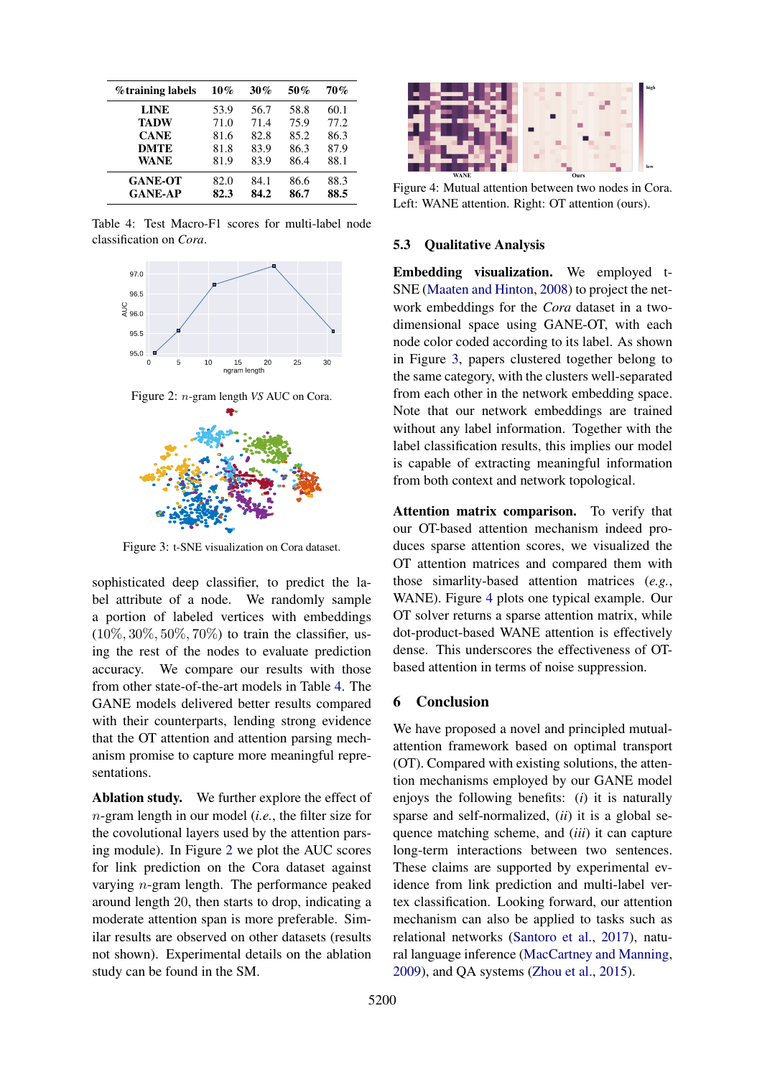<span id="page-7-0"></span>

| %training labels | 10%  | 30%  | 50%  | 70%  |
|------------------|------|------|------|------|
| <b>LINE</b>      | 53.9 | 56.7 | 58.8 | 60.1 |
| <b>TADW</b>      | 71.0 | 71.4 | 75.9 | 77.2 |
| <b>CANE</b>      | 81.6 | 82.8 | 85.2 | 86.3 |
| <b>DMTE</b>      | 81.8 | 83.9 | 86.3 | 87.9 |
| <b>WANE</b>      | 81.9 | 83.9 | 86.4 | 88.1 |
| <b>GANE-OT</b>   | 82.0 | 84.1 | 86.6 | 88.3 |
| <b>GANE-AP</b>   | 82.3 | 84.2 | 86.7 | 88.5 |

Table 4: Test Macro-F1 scores for multi-label node classification on *Cora*.

<span id="page-7-2"></span><span id="page-7-1"></span>

Figure 3: t-SNE visualization on Cora dataset.

sophisticated deep classifier, to predict the label attribute of a node. We randomly sample a portion of labeled vertices with embeddings  $(10\%, 30\%, 50\%, 70\%)$  to train the classifier, using the rest of the nodes to evaluate prediction accuracy. We compare our results with those from other state-of-the-art models in Table [4.](#page-7-0) The GANE models delivered better results compared with their counterparts, lending strong evidence that the OT attention and attention parsing mechanism promise to capture more meaningful representations.

Ablation study. We further explore the effect of n-gram length in our model (*i.e.*, the filter size for the covolutional layers used by the attention parsing module). In Figure [2](#page-7-1) we plot the AUC scores for link prediction on the Cora dataset against varying n-gram length. The performance peaked around length 20, then starts to drop, indicating a moderate attention span is more preferable. Similar results are observed on other datasets (results not shown). Experimental details on the ablation study can be found in the SM.

<span id="page-7-3"></span>

Figure 4: Mutual attention between two nodes in Cora. Left: WANE attention. Right: OT attention (ours).

## 5.3 Qualitative Analysis

Embedding visualization. We employed t-SNE [\(Maaten and Hinton,](#page-8-28) [2008\)](#page-8-28) to project the network embeddings for the *Cora* dataset in a twodimensional space using GANE-OT, with each node color coded according to its label. As shown in Figure [3,](#page-7-2) papers clustered together belong to the same category, with the clusters well-separated from each other in the network embedding space. Note that our network embeddings are trained without any label information. Together with the label classification results, this implies our model is capable of extracting meaningful information from both context and network topological.

Attention matrix comparison. To verify that our OT-based attention mechanism indeed produces sparse attention scores, we visualized the OT attention matrices and compared them with those simarlity-based attention matrices (*e.g.*, WANE). Figure [4](#page-7-3) plots one typical example. Our OT solver returns a sparse attention matrix, while dot-product-based WANE attention is effectively dense. This underscores the effectiveness of OTbased attention in terms of noise suppression.

## 6 Conclusion

We have proposed a novel and principled mutualattention framework based on optimal transport (OT). Compared with existing solutions, the attention mechanisms employed by our GANE model enjoys the following benefits: (*i*) it is naturally sparse and self-normalized, (*ii*) it is a global sequence matching scheme, and (*iii*) it can capture long-term interactions between two sentences. These claims are supported by experimental evidence from link prediction and multi-label vertex classification. Looking forward, our attention mechanism can also be applied to tasks such as relational networks [\(Santoro et al.,](#page-9-8) [2017\)](#page-9-8), natural language inference [\(MacCartney and Manning,](#page-8-3) [2009\)](#page-8-3), and QA systems [\(Zhou et al.,](#page-9-19) [2015\)](#page-9-19).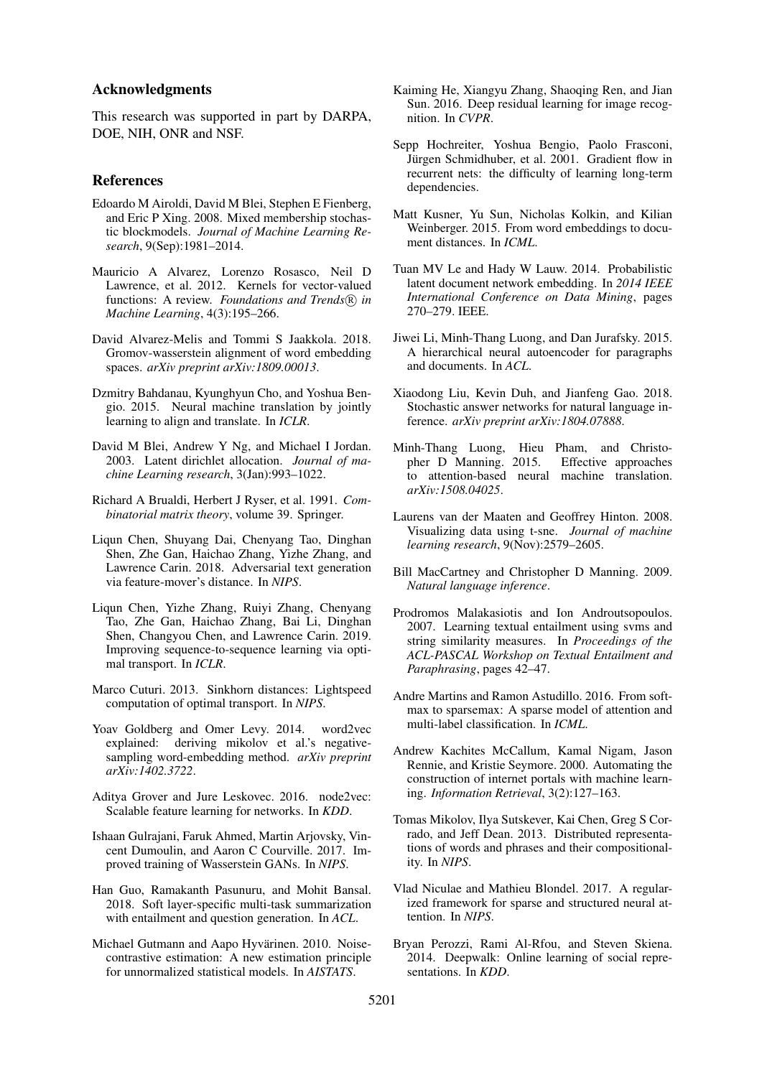#### Acknowledgments

This research was supported in part by DARPA, DOE, NIH, ONR and NSF.

#### References

- <span id="page-8-26"></span>Edoardo M Airoldi, David M Blei, Stephen E Fienberg, and Eric P Xing. 2008. Mixed membership stochastic blockmodels. *Journal of Machine Learning Research*, 9(Sep):1981–2014.
- <span id="page-8-12"></span>Mauricio A Alvarez, Lorenzo Rosasco, Neil D Lawrence, et al. 2012. Kernels for vector-valued functions: A review. *Foundations and Trends*( $\widehat{R}$ ) in *Machine Learning*, 4(3):195–266.
- <span id="page-8-20"></span>David Alvarez-Melis and Tommi S Jaakkola. 2018. Gromov-wasserstein alignment of word embedding spaces. *arXiv preprint arXiv:1809.00013*.
- <span id="page-8-22"></span>Dzmitry Bahdanau, Kyunghyun Cho, and Yoshua Bengio. 2015. Neural machine translation by jointly learning to align and translate. In *ICLR*.
- <span id="page-8-2"></span>David M Blei, Andrew Y Ng, and Michael I Jordan. 2003. Latent dirichlet allocation. *Journal of machine Learning research*, 3(Jan):993–1022.
- <span id="page-8-16"></span>Richard A Brualdi, Herbert J Ryser, et al. 1991. *Combinatorial matrix theory*, volume 39. Springer.
- <span id="page-8-10"></span>Liqun Chen, Shuyang Dai, Chenyang Tao, Dinghan Shen, Zhe Gan, Haichao Zhang, Yizhe Zhang, and Lawrence Carin. 2018. Adversarial text generation via feature-mover's distance. In *NIPS*.
- <span id="page-8-19"></span>Liqun Chen, Yizhe Zhang, Ruiyi Zhang, Chenyang Tao, Zhe Gan, Haichao Zhang, Bai Li, Dinghan Shen, Changyou Chen, and Lawrence Carin. 2019. Improving sequence-to-sequence learning via optimal transport. In *ICLR*.
- <span id="page-8-11"></span>Marco Cuturi. 2013. Sinkhorn distances: Lightspeed computation of optimal transport. In *NIPS*.
- <span id="page-8-15"></span>Yoav Goldberg and Omer Levy. 2014. word2vec explained: deriving mikolov et al.'s negativesampling word-embedding method. *arXiv preprint arXiv:1402.3722*.
- <span id="page-8-27"></span>Aditya Grover and Jure Leskovec. 2016. node2vec: Scalable feature learning for networks. In *KDD*.
- <span id="page-8-9"></span>Ishaan Gulrajani, Faruk Ahmed, Martin Arjovsky, Vincent Dumoulin, and Aaron C Courville. 2017. Improved training of Wasserstein GANs. In *NIPS*.
- <span id="page-8-6"></span>Han Guo, Ramakanth Pasunuru, and Mohit Bansal. 2018. Soft layer-specific multi-task summarization with entailment and question generation. In *ACL*.
- <span id="page-8-14"></span>Michael Gutmann and Aapo Hyvärinen. 2010. Noisecontrastive estimation: A new estimation principle for unnormalized statistical models. In *AISTATS*.
- <span id="page-8-17"></span>Kaiming He, Xiangyu Zhang, Shaoqing Ren, and Jian Sun. 2016. Deep residual learning for image recognition. In *CVPR*.
- <span id="page-8-21"></span>Sepp Hochreiter, Yoshua Bengio, Paolo Frasconi, Jürgen Schmidhuber, et al. 2001. Gradient flow in recurrent nets: the difficulty of learning long-term dependencies.
- <span id="page-8-18"></span>Matt Kusner, Yu Sun, Nicholas Kolkin, and Kilian Weinberger. 2015. From word embeddings to document distances. In *ICML*.
- <span id="page-8-1"></span>Tuan MV Le and Hady W Lauw. 2014. Probabilistic latent document network embedding. In *2014 IEEE International Conference on Data Mining*, pages 270–279. IEEE.
- <span id="page-8-24"></span>Jiwei Li, Minh-Thang Luong, and Dan Jurafsky. 2015. A hierarchical neural autoencoder for paragraphs and documents. In *ACL*.
- <span id="page-8-4"></span>Xiaodong Liu, Kevin Duh, and Jianfeng Gao. 2018. Stochastic answer networks for natural language inference. *arXiv preprint arXiv:1804.07888*.
- <span id="page-8-23"></span>Minh-Thang Luong, Hieu Pham, and Christopher D Manning. 2015. Effective approaches to attention-based neural machine translation. *arXiv:1508.04025*.
- <span id="page-8-28"></span>Laurens van der Maaten and Geoffrey Hinton. 2008. Visualizing data using t-sne. *Journal of machine learning research*, 9(Nov):2579–2605.
- <span id="page-8-3"></span>Bill MacCartney and Christopher D Manning. 2009. *Natural language inference*.
- <span id="page-8-5"></span>Prodromos Malakasiotis and Ion Androutsopoulos. 2007. Learning textual entailment using svms and string similarity measures. In *Proceedings of the ACL-PASCAL Workshop on Textual Entailment and Paraphrasing*, pages 42–47.
- <span id="page-8-7"></span>Andre Martins and Ramon Astudillo. 2016. From softmax to sparsemax: A sparse model of attention and multi-label classification. In *ICML*.
- <span id="page-8-25"></span>Andrew Kachites McCallum, Kamal Nigam, Jason Rennie, and Kristie Seymore. 2000. Automating the construction of internet portals with machine learning. *Information Retrieval*, 3(2):127–163.
- <span id="page-8-13"></span>Tomas Mikolov, Ilya Sutskever, Kai Chen, Greg S Corrado, and Jeff Dean. 2013. Distributed representations of words and phrases and their compositionality. In *NIPS*.
- <span id="page-8-8"></span>Vlad Niculae and Mathieu Blondel. 2017. A regularized framework for sparse and structured neural attention. In *NIPS*.
- <span id="page-8-0"></span>Bryan Perozzi, Rami Al-Rfou, and Steven Skiena. 2014. Deepwalk: Online learning of social representations. In *KDD*.